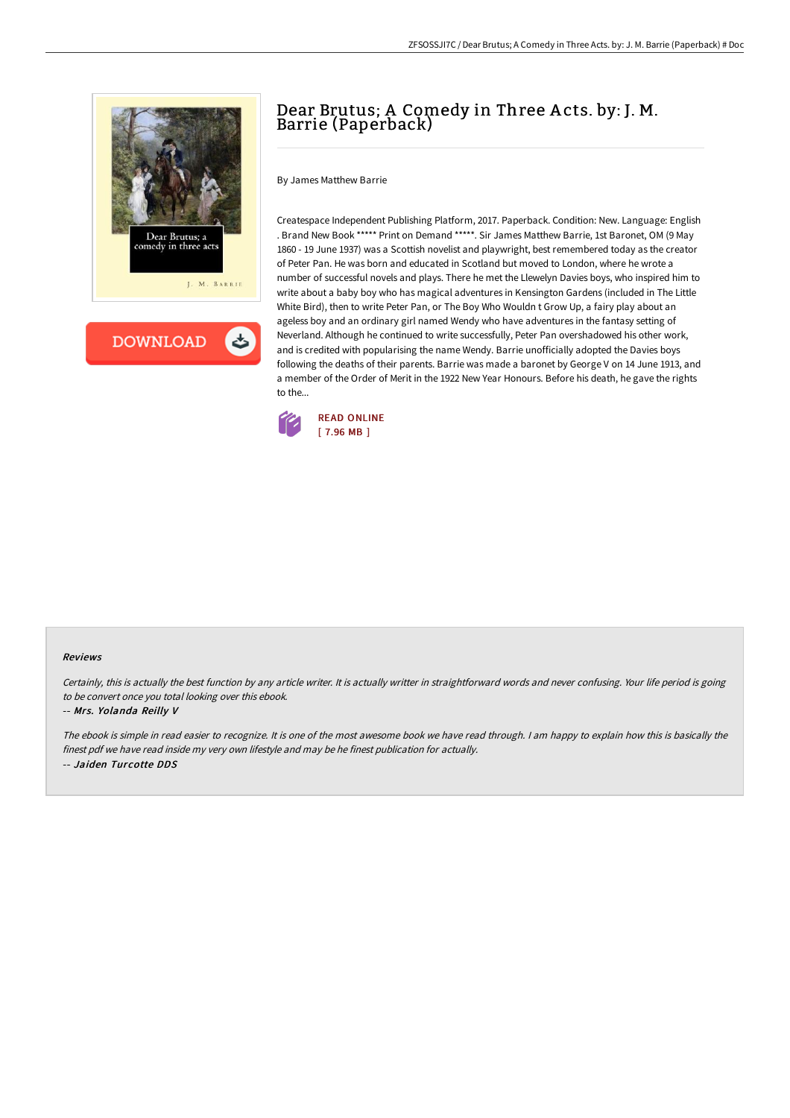



# Dear Brutus; A Comedy in Three A cts. by: J. M. Barrie (Paperback)

By James Matthew Barrie

Createspace Independent Publishing Platform, 2017. Paperback. Condition: New. Language: English . Brand New Book \*\*\*\*\* Print on Demand \*\*\*\*\*. Sir James Matthew Barrie, 1st Baronet, OM (9 May 1860 - 19 June 1937) was a Scottish novelist and playwright, best remembered today as the creator of Peter Pan. He was born and educated in Scotland but moved to London, where he wrote a number of successful novels and plays. There he met the Llewelyn Davies boys, who inspired him to write about a baby boy who has magical adventures in Kensington Gardens (included in The Little White Bird), then to write Peter Pan, or The Boy Who Wouldn t Grow Up, a fairy play about an ageless boy and an ordinary girl named Wendy who have adventures in the fantasy setting of Neverland. Although he continued to write successfully, Peter Pan overshadowed his other work, and is credited with popularising the name Wendy. Barrie unofficially adopted the Davies boys following the deaths of their parents. Barrie was made a baronet by George V on 14 June 1913, and a member of the Order of Merit in the 1922 New Year Honours. Before his death, he gave the rights to the...



### Reviews

Certainly, this is actually the best function by any article writer. It is actually writter in straightforward words and never confusing. Your life period is going to be convert once you total looking over this ebook.

### -- Mrs. Yolanda Reilly V

The ebook is simple in read easier to recognize. It is one of the most awesome book we have read through. <sup>I</sup> am happy to explain how this is basically the finest pdf we have read inside my very own lifestyle and may be he finest publication for actually. -- Jaiden Turcotte DDS